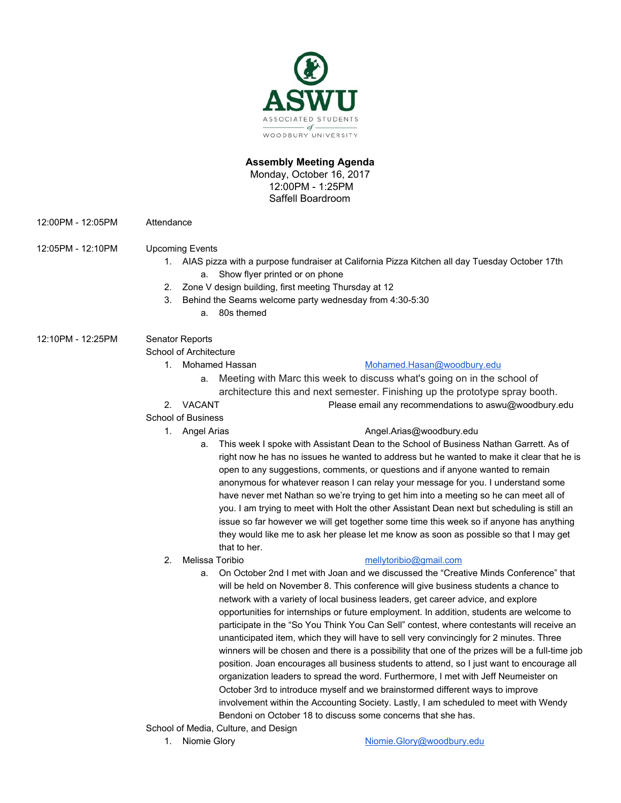

### **Assembly Meeting Agenda**

Monday, October 16, 2017 12:00PM - 1:25PM Saffell Boardroom

12:00PM - 12:05PM Attendance

# 12:05PM - 12:10PM Upcoming Events

- 1. AIAS pizza with a purpose fundraiser at California Pizza Kitchen all day Tuesday October 17th a. Show flyer printed or on phone
- 2. Zone V design building, first meeting Thursday at 12
- 3. Behind the Seams welcome party wednesday from 4:30-5:30
	- a. 80s themed

# 12:10PM - 12:25PM Senator Reports

School of Architecture

# 1. Mohamed Hassan [Mohamed.Hasan@woodbury.edu](mailto:Mohamed.Hasan@woodbury.edu)

- a. Meeting with Marc this week to discuss what's going on in the school of architecture this and next semester. Finishing up the prototype spray booth.
- 2. VACANT Please email any recommendations to aswu@woodbury.edu

# School of Business

### 1. Angel Arias **[Angel.Arias@woodbury.edu](mailto:Angel.Arias@woodbury.edu)**

a. This week I spoke with Assistant Dean to the School of Business Nathan Garrett. As of right now he has no issues he wanted to address but he wanted to make it clear that he is open to any suggestions, comments, or questions and if anyone wanted to remain anonymous for whatever reason I can relay your message for you. I understand some have never met Nathan so we're trying to get him into a meeting so he can meet all of you. I am trying to meet with Holt the other Assistant Dean next but scheduling is still an issue so far however we will get together some time this week so if anyone has anything they would like me to ask her please let me know as soon as possible so that I may get that to her.

# 2. Melissa Toribio [mellytoribio@gmail.com](mailto:mellytoribio@gmail.com)

- a. On October 2nd I met with Joan and we discussed the "Creative Minds Conference" that will be held on November 8. This conference will give business students a chance to network with a variety of local business leaders, get career advice, and explore opportunities for internships or future employment. In addition, students are welcome to participate in the "So You Think You Can Sell" contest, where contestants will receive an unanticipated item, which they will have to sell very convincingly for 2 minutes. Three winners will be chosen and there is a possibility that one of the prizes will be a full-time job position. Joan encourages all business students to attend, so I just want to encourage all organization leaders to spread the word. Furthermore, I met with Jeff Neumeister on October 3rd to introduce myself and we brainstormed different ways to improve involvement within the Accounting Society. Lastly, I am scheduled to meet with Wendy Bendoni on October 18 to discuss some concerns that she has.
- School of Media, Culture, and Design
	-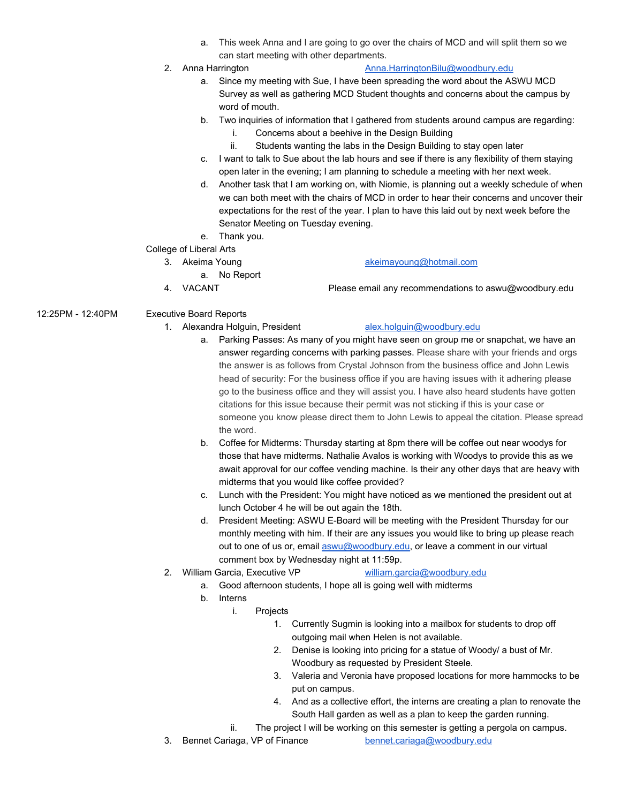- a. This week Anna and I are going to go over the chairs of MCD and will split them so we can start meeting with other departments.
- 
- 2. Anna Harrington **[Anna.HarringtonBilu@woodbury.edu](mailto:Anna.HarringtonBilu@woodbury.edu)** 
	- a. Since my meeting with Sue, I have been spreading the word about the ASWU MCD Survey as well as gathering MCD Student thoughts and concerns about the campus by word of mouth.
	- b. Two inquiries of information that I gathered from students around campus are regarding:
		- i. Concerns about a beehive in the Design Building
		- ii. Students wanting the labs in the Design Building to stay open later
	- c. I want to talk to Sue about the lab hours and see if there is any flexibility of them staying open later in the evening; I am planning to schedule a meeting with her next week.
	- d. Another task that I am working on, with Niomie, is planning out a weekly schedule of when we can both meet with the chairs of MCD in order to hear their concerns and uncover their expectations for the rest of the year. I plan to have this laid out by next week before the Senator Meeting on Tuesday evening.

### e. Thank you.

- College of Liberal Arts
	- 3. Akeima Young [akeimayoung@hotmail.com](mailto:akeimayoung@hotmail.com)
		- a. No Report
	- 4. VACANT Please email any recommendations to aswu@woodbury.edu

# 12:25PM - 12:40PM Executive Board Reports

1. Alexandra Holguin, President [alex.holguin@woodbury.edu](mailto:alex.holguin@woodbury.edu)

- a. Parking Passes: As many of you might have seen on group me or snapchat, we have an answer regarding concerns with parking passes. Please share with your friends and orgs the answer is as follows from Crystal Johnson from the business office and John Lewis head of security: For the business office if you are having issues with it adhering please go to the business office and they will assist you. I have also heard students have gotten citations for this issue because their permit was not sticking if this is your case or someone you know please direct them to John Lewis to appeal the citation. Please spread the word.
- b. Coffee for Midterms: Thursday starting at 8pm there will be coffee out near woodys for those that have midterms. Nathalie Avalos is working with Woodys to provide this as we await approval for our coffee vending machine. Is their any other days that are heavy with midterms that you would like coffee provided?
- c. Lunch with the President: You might have noticed as we mentioned the president out at lunch October 4 he will be out again the 18th.
- d. President Meeting: ASWU E-Board will be meeting with the President Thursday for our monthly meeting with him. If their are any issues you would like to bring up please reach out to one of us or, email [aswu@woodbury.edu](mailto:aswu@woodbury.edu), or leave a comment in our virtual comment box by Wednesday night at 11:59p.
- 2. William Garcia, Executive VP [william.garcia@woodbury.edu](mailto:william.garcia@woodbury.edu)

- a. Good afternoon students, I hope all is going well with midterms
- b. Interns
	- i. Projects
		- 1. Currently Sugmin is looking into a mailbox for students to drop off outgoing mail when Helen is not available.
		- 2. Denise is looking into pricing for a statue of Woody/ a bust of Mr. Woodbury as requested by President Steele.
		- 3. Valeria and Veronia have proposed locations for more hammocks to be put on campus.
		- 4. And as a collective effort, the interns are creating a plan to renovate the South Hall garden as well as a plan to keep the garden running.
	- ii. The project I will be working on this semester is getting a pergola on campus.
- 3. Bennet Cariaga, VP of Finance [bennet.cariaga@woodbury.edu](mailto:bennet.cariaga@woodbury.edu)
-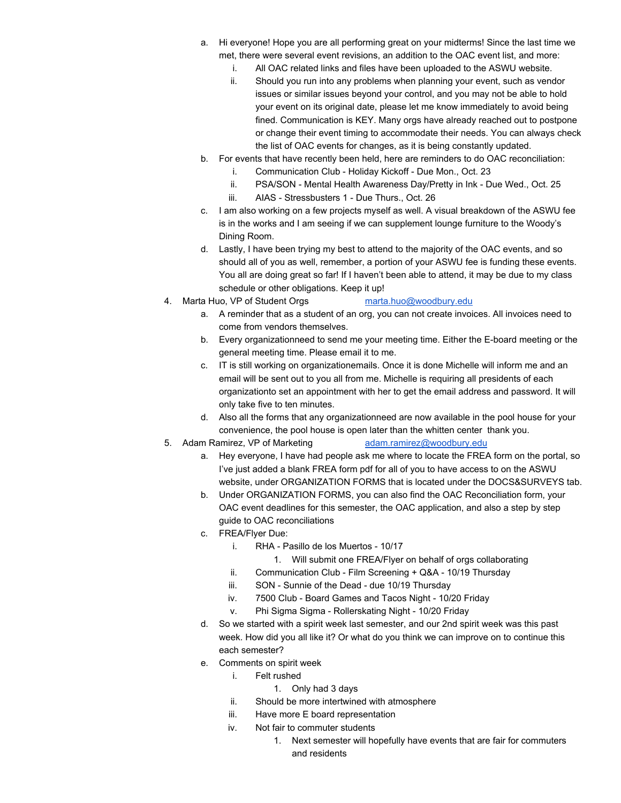- a. Hi everyone! Hope you are all performing great on your midterms! Since the last time we met, there were several event revisions, an addition to the OAC event list, and more:
	- i. All OAC related links and files have been uploaded to the ASWU website.
	- ii. Should you run into any problems when planning your event, such as vendor issues or similar issues beyond your control, and you may not be able to hold your event on its original date, please let me know immediately to avoid being fined. Communication is KEY. Many orgs have already reached out to postpone or change their event timing to accommodate their needs. You can always check the list of OAC events for changes, as it is being constantly updated.
- b. For events that have recently been held, here are reminders to do OAC reconciliation:
	- i. Communication Club Holiday Kickoff Due Mon., Oct. 23
	- ii. PSA/SON Mental Health Awareness Day/Pretty in Ink Due Wed., Oct. 25
	- iii. AIAS Stressbusters 1 Due Thurs., Oct. 26
- c. I am also working on a few projects myself as well. A visual breakdown of the ASWU fee is in the works and I am seeing if we can supplement lounge furniture to the Woody's Dining Room.
- d. Lastly, I have been trying my best to attend to the majority of the OAC events, and so should all of you as well, remember, a portion of your ASWU fee is funding these events. You all are doing great so far! If I haven't been able to attend, it may be due to my class schedule or other obligations. Keep it up!
- 4. Marta Huo, VP of Student Orgs [marta.huo@woodbury.edu](mailto:marta.huo@woodbury.edu)
	- a. A reminder that as a student of an org, you can not create invoices. All invoices need to come from vendors themselves.
	- b. Every organizationneed to send me your meeting time. Either the E-board meeting or the general meeting time. Please email it to me.
	- c. IT is still working on organizationemails. Once it is done Michelle will inform me and an email will be sent out to you all from me. Michelle is requiring all presidents of each organizationto set an appointment with her to get the email address and password. It will only take five to ten minutes.
	- d. Also all the forms that any organizationneed are now available in the pool house for your convenience, the pool house is open later than the whitten center thank you.
- 5. Adam Ramirez, VP of Marketing [adam.ramirez@woodbury.edu](mailto:adam.ramirez@woodbury.edu)
	- a. Hey everyone, I have had people ask me where to locate the FREA form on the portal, so I've just added a blank FREA form pdf for all of you to have access to on the ASWU website, under ORGANIZATION FORMS that is located under the DOCS&SURVEYS tab.
	- b. Under ORGANIZATION FORMS, you can also find the OAC Reconciliation form, your OAC event deadlines for this semester, the OAC application, and also a step by step guide to OAC reconciliations
	- c. FREA/Flyer Due:
		- i. RHA Pasillo de los Muertos 10/17
			- 1. Will submit one FREA/Flyer on behalf of orgs collaborating
		- ii. Communication Club Film Screening + Q&A 10/19 Thursday
		- iii. SON Sunnie of the Dead due 10/19 Thursday
		- iv. 7500 Club Board Games and Tacos Night 10/20 Friday
		- v. Phi Sigma Sigma Rollerskating Night 10/20 Friday
	- d. So we started with a spirit week last semester, and our 2nd spirit week was this past week. How did you all like it? Or what do you think we can improve on to continue this each semester?
	- e. Comments on spirit week
		- i. Felt rushed
			- 1. Only had 3 days
		- ii. Should be more intertwined with atmosphere
		- iii. Have more E board representation
		- iv. Not fair to commuter students
			- 1. Next semester will hopefully have events that are fair for commuters and residents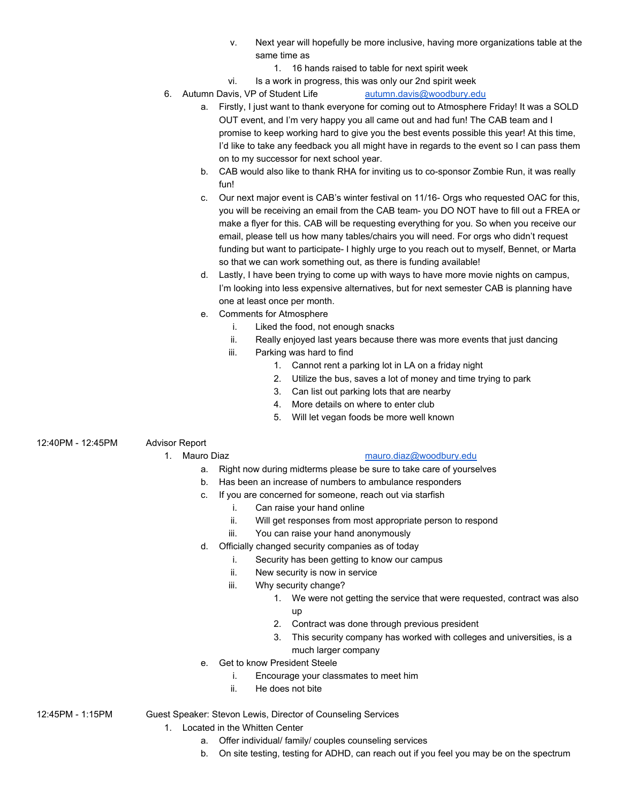- v. Next year will hopefully be more inclusive, having more organizations table at the same time as
	- 1. 16 hands raised to table for next spirit week
- vi. Is a work in progress, this was only our 2nd spirit week
- 6. Autumn Davis, VP of Student Life [autumn.davis@woodbury.edu](mailto:autumn.davis@woodbury.edu)
	- a. Firstly, I just want to thank everyone for coming out to Atmosphere Friday! It was a SOLD OUT event, and I'm very happy you all came out and had fun! The CAB team and I promise to keep working hard to give you the best events possible this year! At this time, I'd like to take any feedback you all might have in regards to the event so I can pass them on to my successor for next school year.
	- b. CAB would also like to thank RHA for inviting us to co-sponsor Zombie Run, it was really fun!
	- c. Our next major event is CAB's winter festival on 11/16- Orgs who requested OAC for this, you will be receiving an email from the CAB team- you DO NOT have to fill out a FREA or make a flyer for this. CAB will be requesting everything for you. So when you receive our email, please tell us how many tables/chairs you will need. For orgs who didn't request funding but want to participate- I highly urge to you reach out to myself, Bennet, or Marta so that we can work something out, as there is funding available!
	- d. Lastly, I have been trying to come up with ways to have more movie nights on campus, I'm looking into less expensive alternatives, but for next semester CAB is planning have one at least once per month.
	- e. Comments for Atmosphere
		- i. Liked the food, not enough snacks
		- ii. Really enjoyed last years because there was more events that just dancing
		- iii. Parking was hard to find
			- 1. Cannot rent a parking lot in LA on a friday night
			- 2. Utilize the bus, saves a lot of money and time trying to park
			- 3. Can list out parking lots that are nearby
			- 4. More details on where to enter club
			- 5. Will let vegan foods be more well known
- 12:40PM 12:45PM Advisor Report

# 1. Mauro Diaz [mauro.diaz@woodbury.edu](mailto:mauro.diaz@woodbury.edu)

- a. Right now during midterms please be sure to take care of yourselves
- b. Has been an increase of numbers to ambulance responders
- c. If you are concerned for someone, reach out via starfish
	- i. Can raise your hand online
	- ii. Will get responses from most appropriate person to respond
	- iii. You can raise your hand anonymously
- d. Officially changed security companies as of today
	- i. Security has been getting to know our campus
	- ii. New security is now in service
	- iii. Why security change?
		- 1. We were not getting the service that were requested, contract was also up
		- 2. Contract was done through previous president
		- 3. This security company has worked with colleges and universities, is a much larger company
- e. Get to know President Steele
	- i. Encourage your classmates to meet him
	- ii. He does not bite

12:45PM - 1:15PM Guest Speaker: Stevon Lewis, Director of Counseling Services

- 1. Located in the Whitten Center
	- a. Offer individual/ family/ couples counseling services
	- b. On site testing, testing for ADHD, can reach out if you feel you may be on the spectrum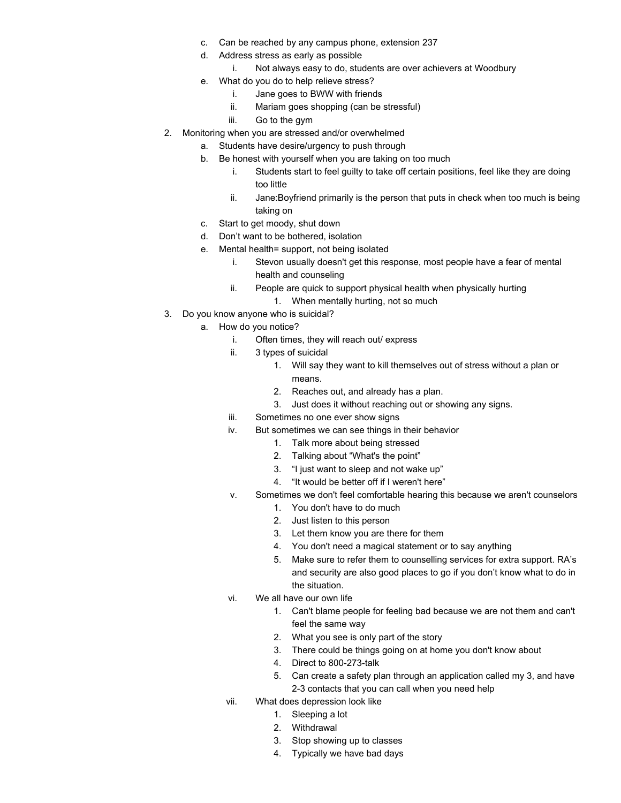- c. Can be reached by any campus phone, extension 237
- d. Address stress as early as possible
	- i. Not always easy to do, students are over achievers at Woodbury
- e. What do you do to help relieve stress?
	- i. Jane goes to BWW with friends
	- ii. Mariam goes shopping (can be stressful)
	- iii. Go to the gym
- 2. Monitoring when you are stressed and/or overwhelmed
	- a. Students have desire/urgency to push through
		- b. Be honest with yourself when you are taking on too much
			- i. Students start to feel guilty to take off certain positions, feel like they are doing too little
			- ii. Jane:Boyfriend primarily is the person that puts in check when too much is being taking on
		- c. Start to get moody, shut down
		- d. Don't want to be bothered, isolation
		- e. Mental health= support, not being isolated
			- i. Stevon usually doesn't get this response, most people have a fear of mental health and counseling
			- ii. People are quick to support physical health when physically hurting 1. When mentally hurting, not so much
- 3. Do you know anyone who is suicidal?
	- a. How do you notice?
		- i. Often times, they will reach out/ express
		- ii. 3 types of suicidal
			- 1. Will say they want to kill themselves out of stress without a plan or means.
			- 2. Reaches out, and already has a plan.
			- 3. Just does it without reaching out or showing any signs.
		- iii. Sometimes no one ever show signs
		- iv. But sometimes we can see things in their behavior
			- 1. Talk more about being stressed
			- 2. Talking about "What's the point"
			- 3. "I just want to sleep and not wake up"
			- 4. "It would be better off if I weren't here"
		- v. Sometimes we don't feel comfortable hearing this because we aren't counselors
			- 1. You don't have to do much
			- 2. Just listen to this person
			- 3. Let them know you are there for them
			- 4. You don't need a magical statement or to say anything
			- 5. Make sure to refer them to counselling services for extra support. RA's and security are also good places to go if you don't know what to do in the situation.
		- vi. We all have our own life
			- 1. Can't blame people for feeling bad because we are not them and can't feel the same way
			- 2. What you see is only part of the story
			- 3. There could be things going on at home you don't know about
			- 4. Direct to 800-273-talk
			- 5. Can create a safety plan through an application called my 3, and have 2-3 contacts that you can call when you need help
		- vii. What does depression look like
			- 1. Sleeping a lot
			- 2. Withdrawal
			- 3. Stop showing up to classes
			- 4. Typically we have bad days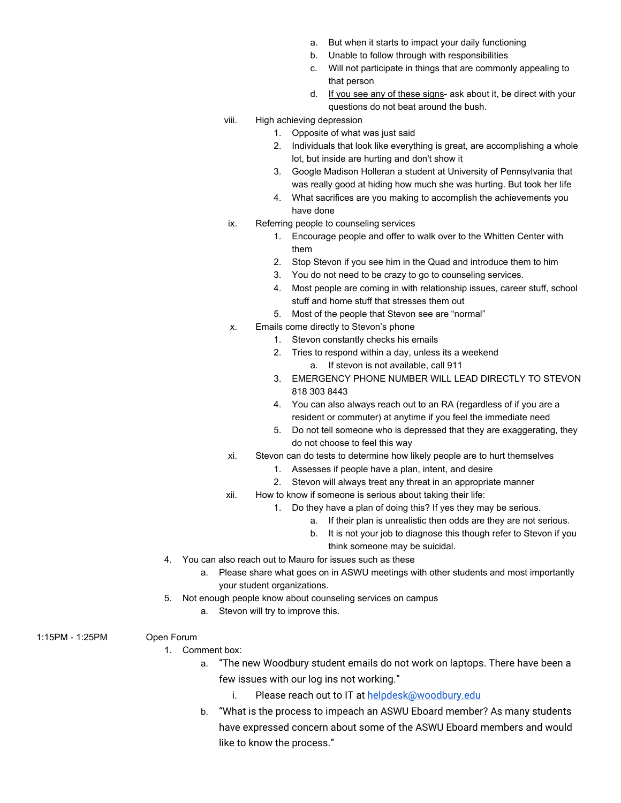- a. But when it starts to impact your daily functioning
- b. Unable to follow through with responsibilities
- c. Will not participate in things that are commonly appealing to that person
- d. If you see any of these signs- ask about it, be direct with your questions do not beat around the bush.
- viii. High achieving depression
	- 1. Opposite of what was just said
	- 2. Individuals that look like everything is great, are accomplishing a whole lot, but inside are hurting and don't show it
	- 3. Google Madison Holleran a student at University of Pennsylvania that was really good at hiding how much she was hurting. But took her life
	- 4. What sacrifices are you making to accomplish the achievements you have done
- ix. Referring people to counseling services
	- 1. Encourage people and offer to walk over to the Whitten Center with them
	- 2. Stop Stevon if you see him in the Quad and introduce them to him
	- 3. You do not need to be crazy to go to counseling services.
	- 4. Most people are coming in with relationship issues, career stuff, school stuff and home stuff that stresses them out
	- 5. Most of the people that Stevon see are "normal"
- x. Emails come directly to Stevon's phone
	- 1. Stevon constantly checks his emails
	- 2. Tries to respond within a day, unless its a weekend a. If stevon is not available, call 911
	- 3. EMERGENCY PHONE NUMBER WILL LEAD DIRECTLY TO STEVON 818 303 8443
	- 4. You can also always reach out to an RA (regardless of if you are a resident or commuter) at anytime if you feel the immediate need
	- 5. Do not tell someone who is depressed that they are exaggerating, they do not choose to feel this way
- xi. Stevon can do tests to determine how likely people are to hurt themselves
	- 1. Assesses if people have a plan, intent, and desire
	- 2. Stevon will always treat any threat in an appropriate manner
- xii. How to know if someone is serious about taking their life:
	- 1. Do they have a plan of doing this? If yes they may be serious.
		- a. If their plan is unrealistic then odds are they are not serious.
		- b. It is not your job to diagnose this though refer to Stevon if you think someone may be suicidal.
- 4. You can also reach out to Mauro for issues such as these
	- a. Please share what goes on in ASWU meetings with other students and most importantly your student organizations.
- 5. Not enough people know about counseling services on campus
	- a. Stevon will try to improve this.
- 1:15PM 1:25PM Open Forum
	- - 1. Comment box:
			- a. "The new Woodbury student emails do not work on laptops. There have been a few issues with our log ins not working."
				- i. Please reach out to IT at [helpdesk@woodbury.edu](mailto:helpdesk@woodbury.edu)
			- b. "What is the process to impeach an ASWU Eboard member? As many students have expressed concern about some of the ASWU Eboard members and would like to know the process."